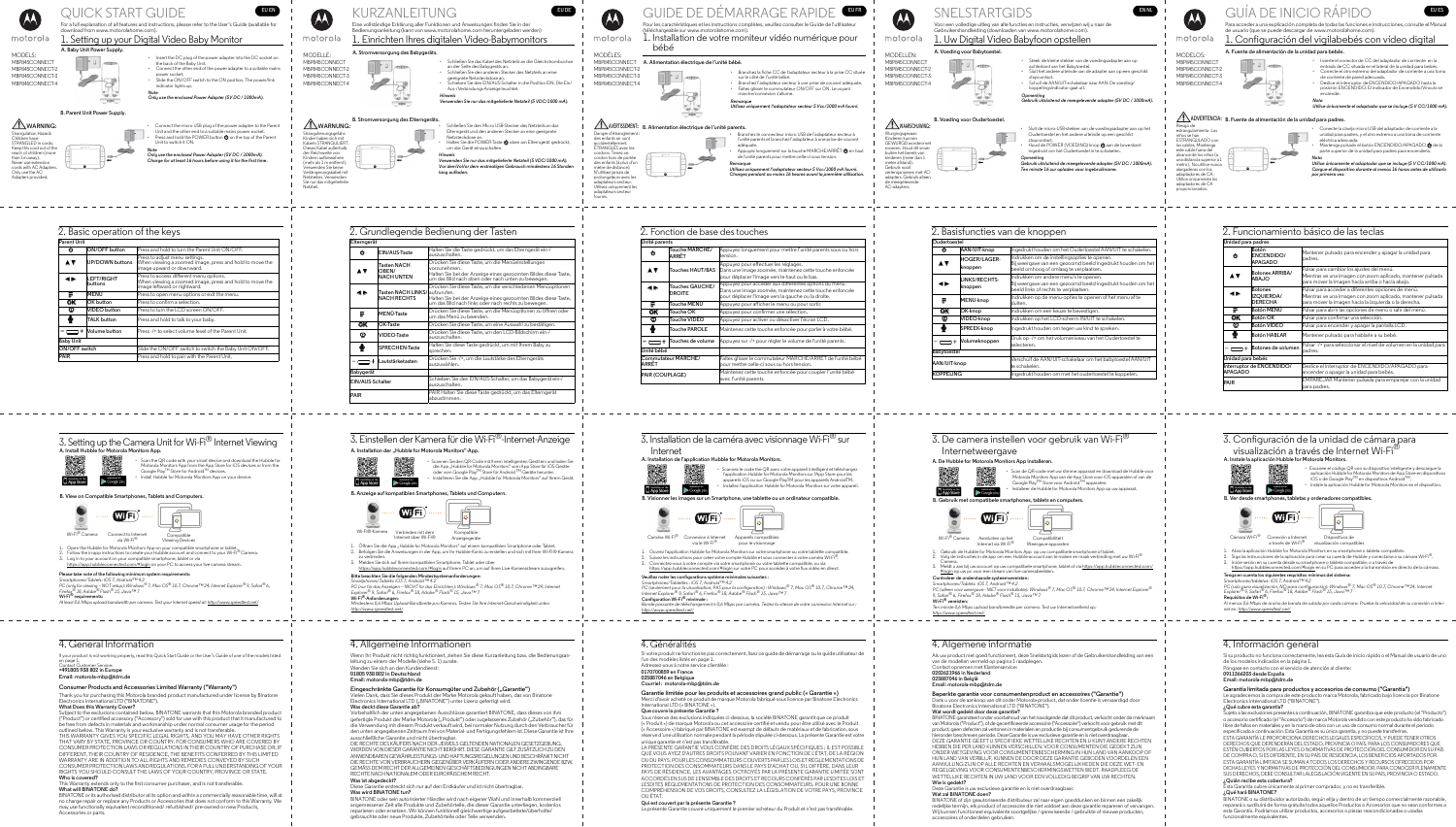

than 1m away). Never use extension cords with AC Adapters. Only use the AC Adapters provided.

> 1. Open the Hubble for Motorola Monitors App on your compatible smartphone or tablet. Follow the in-app instructions to create your Hubble account and connect to your Wi-Fi $^\circledR$  Camera.

*Note Only use the enclosed Power Adapter (5V DC / 1000mA). Charge for at least 16 hours before using it for the first time.*

Log in to your account on your compatible smartphone, tablet or via https://app.hubbleconnected.com/#login on your PC to access your live camera stream.

|                      | 2. Basic operation of the keys |                                                                                                                                    |
|----------------------|--------------------------------|------------------------------------------------------------------------------------------------------------------------------------|
| Parent Unit          |                                |                                                                                                                                    |
| ტ                    | ON/OFF button                  | Press and hold to turn the Parent Unit ON/OFF.                                                                                     |
| I V                  | UP/DOWN buttons                | Press to adjust menu settings.<br>When viewing a zoomed image, press and hold to move the<br>image upward or downward.             |
|                      | <b>LEFT/RIGHT</b><br>buttons   | Press to access different menu options.<br>When viewing a zoomed image, press and hold to move the<br>image leftward or rightward. |
|                      | IMENU                          | Press to open menu options or exit the menu.                                                                                       |
| OΚ                   | OK button                      | Press to confirm a selection.                                                                                                      |
| ⊕                    | <b>VIDEO</b> button            | Press to turn the LCD screen ON/OFF.                                                                                               |
| ♥                    | TALK button                    | Press and hold to talk to your baby.                                                                                               |
| ┿                    | Volume button                  | Press -/+ to select volume level of the Parent Unit.                                                                               |
| <b>Baby Unit</b>     |                                |                                                                                                                                    |
| <b>ON/OFF</b> switch |                                | Slide the ON/OFF switch to switch the Baby Unit ON/OFF.                                                                            |
| <b>PAIR</b>          |                                | Press and hold to pair with the Parent Unit.                                                                                       |

Subject to the exclusions contained below, BINATONE warrants that this Motorola branded product ("Product") or certified accessory ("Accessory") sold for use with this product that it manufactured to be free from defects in materials and workmanship under normal consumer usage for the period outlined below. This Warranty is your exclusive warranty and is not transferable.

THIS WARRANTY GIVES YOU SPECIFIC LEGAL RIGHTS, AND YOU MAY HAVE OTHER RIGHTS THAT VARY BY STATE, PROVINCE OR COUNTRY. FOR CONSUMERS WHO ARE COVERED BY CONSUMER PROTECTION LAWS OR REGULATIONS IN THEIR COUNTRY OF PURCHASE OR, IF DIFFERENT, THEIR COUNTRY OF RESIDENCE, THE BENEFITS CONFERRED BY THIS LIMITED WARRANTY ARE IN ADDITION TO ALL RIGHTS AND REMEDIES CONVEYED BY SUCH CONSUMER PROTECTION LAWS AND REGULATIONS. FOR A FULL UNDERSTANDING OF YOUR RIGHTS YOU SHOULD CONSULT THE LAWS OF YOUR COUNTRY, PROVINCE OR STATE.

#### **Please take note of the following minimum system requirements:** *Smartphones/Tablets: iOS 7, Android™ 4.2*

*PC (only for viewing – NOT setup): Windows® 7, Mac OS® 10.7, Chrome™ 24, Internet Explorer® 9, Safari® 6, Firefox® 18, Adobe® Flash® 15, Java™ 7* **Wi-Fi® requirements:**

## KURZANLEITUNG **EUDE** ie vollständige Erklärung aller Funktionen und Anweisungen finden Sie in der Bedienungsanleitung (kann von www.motorolahome.com heruntergeladen werden) 1. Einrichten Ihres digitalen Video-Babymonitors

| $N(\lambda)$ if $\Gamma$ is $\gamma$ |  |
|--------------------------------------|--|
| MBP845CONNECT                        |  |
| MBP845CONNECT-2                      |  |
| MBP845CONNECT-3                      |  |
| MBP845CONNECT-4                      |  |
|                                      |  |
|                                      |  |

*At least 0.6 Mbps upload bandwidth per camera. Test your Internet speed at: http://www.speedtest.net/*

• Scan the QR code with your smart device and download the Hubble for Motorola Monitors App from the App Store for iOS devices or from the Google Play™ Store for Android™ devices. • Install Hubble for Motorola Monitors App on your device.

| 3. Setting up the Camera Unit for Wi-Fi $^\circledR$ Internet Viewing |  |
|-----------------------------------------------------------------------|--|
| A. Install Hubble for Motorola Monitors App.                          |  |



- 
- Schließen Sie den Micro USB-Stecker des Netzteils an das Elterngerät und den anderen Stecker an eine geeignete Netzsteckdose an. Halten Sie die POWER-Taste  $\spadesuit$  oben am Elterngerät gedrückt,



**B. View on Compatible Smartphones, Tablets and Computers.**

# 4. General Information

If your product is not working properly, read this Quick Start Guide or the User's Guide of one of the models listed on page 1. Contact Customer Service:

#### **+491805 938 802 in Europe Email: motorola-mbp@tdm.de**

**Consumer Products and Accessories Limited Warranty ("Warranty")** Thank you for purchasing this Motorola branded product manufactured under license by Binatone Electronics International LTD ("BINATONE").

### **What Does this Warranty Cover?**

# 3. Einstellen der Kamera für die Wi-Fi®-Internet-Anzeige A. Installation der "Hubble for Motorola Monitors"-App.



• Scannen Sie den QR-Code mit Ihrem intelligenten Gerät ein und laden Sie die App "Hubble for Motorola Monitors" vom App Store für iOS-Geräte<br>oder vom Google Play<sup>TM</sup> Store für Android <sup>TM</sup>-Geräte herunter. Installieren Sie die App "Hubble for Motorola Monitors" auf Ihrem Gerät

**Who is covered?** This Warranty extends only to the first consumer purchaser, and is not transferable.

**What will BINATONE do?**

BINATONE or its authorised distributor at its option and within a commercially reasonable time, will at no charge repair or replace any Products or Accessories that does not conform to this Warranty. We may use functionally equivalent reconditioned/ refurbished/ pre-owned or new Products, Accessories or parts.

| motorola        | Ein<br>Bec |
|-----------------|------------|
| <b>MODELLE:</b> | ŗ.         |
| MODO4ECOMMIEC   | А.         |

e nur das mitgelieferte



Netzteil.



# **WARNUNG: B. Stromversorgung des Elterngeräts.**

*Hinweis Verwenden Sie nur das mitgelieferte Netzteil (5 VDC/1000 mA).*

**A. Stromversorgung des Babygeräts.**

um das Gerät einzuschalten. *Hinweis Verwenden Sie nur das mitgelieferte Netzteil (5 VDC/1000 mA). Vor demVoVor dem erstmaligen Gebrauch mindestens 16 Stunden* 

*lang aufladen.*

| 2. Grundlegende Bedienung der Tasten |                                                      |                                                                                                                                                                                          |  |
|--------------------------------------|------------------------------------------------------|------------------------------------------------------------------------------------------------------------------------------------------------------------------------------------------|--|
| Elterngerät                          |                                                      |                                                                                                                                                                                          |  |
| ტ                                    | EIN/AUS-Taste                                        | Halten Sie die Taste gedrückt, um das Elterngerät ein-/<br>auszuschalten.                                                                                                                |  |
| I A                                  | Tasten NACH<br>OBEN/<br><b>NACH UNTEN</b>            | Drücken Sie diese Taste, um die Menüeinstellungen<br>vorzunehmen.<br>Halten Sie bei der Anzeige eines gezoomten Bildes diese Taste,<br>um das Bild nach oben oder nach unten zu bewegen. |  |
|                                      | Tasten NACH LINKS/laufzurufen.<br><b>NACH RECHTS</b> | Drücken Sie diese Taste, um die verschiedenen Menüoptionen<br>Halten Sie bei der Anzeige eines gezoomten Bildes diese Taste,<br>um das Bild nach links oder nach rechts zu bewegen.      |  |
| Ξ                                    | <b>MENÜ-Taste</b>                                    | Drücken Sie diese Taste, um die Menüoptionen zu öffnen oder<br>um das Menü zu beenden.                                                                                                   |  |
| OK                                   | OK-Taste                                             | Drücken Sie diese Taste, um eine Auswahl zu bestätigen.                                                                                                                                  |  |
| Φ                                    | <b>VIDEO</b> Taste                                   | Drücken Sie diese Taste, um den LCD-Bildschirm ein-/<br>auszuschalten.                                                                                                                   |  |
| ₹                                    | SPRECHEN-Taste                                       | Halten Sie diese Taste gedrückt, um mit Ihrem Baby zu<br>sprechen.                                                                                                                       |  |
| $\pm$                                | Lautstärketasten                                     | Drücken Sie -/+, um die Lautstärke des Elterngeräts<br>auszuwählen.                                                                                                                      |  |
| Babygerät                            |                                                      |                                                                                                                                                                                          |  |
| EIN/AUS-Schalter                     |                                                      | Schieben Sie den EIN/AUS-Schalter, um das Babygerät ein-/<br>auszuschalten.                                                                                                              |  |
| <b>PAIR</b>                          |                                                      | PAIR Halten Sie diese Taste gedrückt, um das Elterngerät<br>abzustimmen.                                                                                                                 |  |





Internet über Wi-Fi®

Kompatible Anzeigegeräte

1. Öffnen Sie die App "Hubble for Motorola Monitors" auf einem kompatiblen Smartphone oder Tablet. 2. Befolgen Sie die Anweisungen in der App, um Ihr Hubble-Konto zu erstellen und sich mit Ihrer Wi-Fi®-Kamera

- zu verbinden. 3. Melden Sie sich auf Ihrem kompatiblen Smartphone, Tablet oder über
- https://app.hubbleconnected.com/#login auf Ihrem PC an, um auf Ihren Live-Kamerastream zuzugreifen. **Bitte beachten Sie die folgenden Mindestsystemanforderungen:**
- *Smartphones/Tablets: iOS 7, Android™ 4.2 PC (nur für das Anzeigen – NICHT für das Einrichten): Windows® 7, Mac OS® 10.7, Chrome™ 24, Internet Explorer® 9, Safari® 6, Firefox® 18, Adobe® Flash® 15, Java™ 7*

**Wi-Fi®-Anforderungen:**

*Mindestens 0,6 Mbps Upload-Bandbreite pro Kamera. Testen Sie Ihre Internet-Geschwindigkeit unter: http://www.speedtest.net/*

# 4. Allgemeine Informationen

Wenn Ihr Produkt nicht richtig funktioniert, ziehen Sie diese Kurzanleitung bzw. die Bedienungsanleitung zu einem der Modelle (siehe S. 1) zurate. Wenden Sie sich an den Kundendienst: **01805 938 802 in Deutschland Email: motorola-mbp@tdm.de** Eingeschränkte Garantie für Konsumgüter und Zubehör ("Garantie") J<br>In Dank, dass Sie dieses Produkt der Marke Motorola gekauft haben, das von Binatone Electronics International LTD ("BINATONE") unter Lizenz gefertigt wird. **Was deckt diese Garantie ab?** Vorbehaltlich der unten angegebenen Ausschlüsse garantiert BINATONE, dass dieses von ihm gefertigte Produkt der Marke Motorola ("Produkt") oder zugelassenes Zubehör ("Zubehör"), das für die Verwendung mit diesem Produkt verkauft wird, bei normaler Nutzung durch den Verbraucher für den unten angegebenen Zeitraum frei von Material- und Fertigungsfehlern ist. Diese Garantie ist Ihre ausschließliche Garantie und nicht übertragbar.

DIE RECHTE DES KÄUFERS NACH DER JEWEILS GELTENDEN NATIONALEN GESETZGEBUNG, WERDEN VON DIESER GARANTIE NICHT BERÜHRT. DIESE GARANTIE GILT ZUSÄTZLICH ZU DEN ANWENDBAREN GEWÄHRLEISTUNGS- UND HAFTUNGSREGELUNGEN UND BESCHRÄNKT NICHT DIE RECHTE VON VERBRAUCHERN GEGENÜBER VERKÄUFERN ODER ANDERE ZWINGENDE BZW. GEMÄSS DEM RECHT DER ALLGEMEINEN GESCHÄFTSBEDINGUNGEN NICHT ABDINGBARE RECHTE NACH NATIONALEM ODER EUROPÄISCHEM RECHT.

**Was ist abgedeckt?** Diese Garantie erstreckt sich nur auf den Erstkäufer und ist nicht übertragbar. **Was wird BINATONE tun?**

BINATONE oder sein autorisierter Händler wird nach eigener Wahl und innerhalb kommerziell angemessener Zeit alle Produkte und Zubehörteile, die dieser Garantie unterliegen, kostenlos reparieren oder ersetzen. Wir können funktionell gleichwertige aufgearbeitete/überholte/ gebrauchte oder neue Produkte, Zubehörteile oder Teile verwenden.



MODÈLES:

fournis.

# 3. Configuración de la unidad de cámara para visualización a través de Internet Wi-Fi®



**EU ES**

# GUÍA DE INICIO RÁPIDO

Para acceder a una explicación completa de todas las funciones e instrucciones, consulte el Manual de usuario (que se puede descargar de www.motorolahome.com).



- Inserte el conector de CC del adaptador de corriente en la
- entrada de CC situada en el lateral de la unidad para bebés. • Conecte el otro extremo del adaptador de corriente a una toma de corriente de pared adecuada.
- Deslice el interruptor de ENCENDIDO/APAGADO hasta la posición ENCENDIDO. El indicador de Encendido/Vínculo se enciende.
- *Nota Utilice únicamente el adaptador que se incluye (5 V CC/1000 mA).*

- Conecte la clavija micro USB del adaptador de corriente a la unidad para padres, y el otro extremo a una toma de corriente
- eléctrica adecuada. Mantenga pulsado el botón ENCENDIDO/APAGADO  $\bigcirc$  de la parte superior de la unidad para padres para encenderla. *Nota*

*Utilice únicamente el adaptador que se incluye (5 V CC/1000 mA). Cargue el dispositivo durante al menos 16 horas antes de utilizarlo por primera vez.*

# 2. Funcionamiento básico de las teclas

|                                             | Unidad para padres                           |                                                                                                                                                                           |  |
|---------------------------------------------|----------------------------------------------|---------------------------------------------------------------------------------------------------------------------------------------------------------------------------|--|
| ሶነ                                          | Botón<br><b>ENCENDIDO/</b><br><b>APAGADO</b> | Mantener pulsado para encender y apagar la unidad para<br>padres.                                                                                                         |  |
| . V                                         | <b>Botones ARRIBA/</b><br>ABAJO              | Pulsar para cambiar los ajustes del menú.<br>Mientras ve una imagen con zoom aplicado, mantener pulsada<br>para mover la imagen hacia arriba o hacia abajo.               |  |
|                                             | Botones<br>IZQUIERDA/<br><b>DERECHA</b>      | Pulsar para acceder a diferentes opciones de menú.<br>Mientras ve una imagen con zoom aplicado, mantener pulsada<br>para mover la imagen hacia la izquierda o la derecha. |  |
| ,                                           | Botón MENÚ                                   | Pulsar para abrir las opciones de menú o salir del menú.                                                                                                                  |  |
| <b>OK</b>                                   | Botón OK                                     | Pulsar para confirmar una selección.                                                                                                                                      |  |
| ⊕                                           | Botón VIDEO                                  | Pulsar para encender y apagar la pantalla LCD.                                                                                                                            |  |
| ቃ                                           | <b>Botón HABLAR</b>                          | Mantener pulsado para hablarle a su bebé.                                                                                                                                 |  |
|                                             | Botones de volumen                           | Pulsar -/+ para seleccionar el nivel de volumen en la unidad para<br>padres.                                                                                              |  |
| Unidad para bebés                           |                                              |                                                                                                                                                                           |  |
| Interruptor de ENCENDIDO/<br><b>APAGADO</b> |                                              | Deslice el interruptor de ENCENDIDO/APAGADO para<br>encender o apagar la unidad para bebés.                                                                               |  |
| PAIR                                        |                                              | EMPAREJAR Mantener pulsada para emparejar con la unidad<br>para padres.                                                                                                   |  |

**A. Instale la aplicación Hubble for Motorola Monitors.**

aplicación Hubble for Motorola Monitors de App Store en dispositivos

Instale la aplicación Hubble for Motorola Monitors en el dispositiv



visualización compatible

Abra la aplicación Hubble for Motorola Monitors en su smartphone o tableta compatible

2. Siga las instrucciones de la aplicación para crear su cuenta de Hubble y conectarse a su cámara Wi-Fi®.

3. Inicie sesión en su cuenta desde su smartphone o tableta compatible, o a través de https://app.hubbleconnected.com/#login en su PC para acceder a la transmisión en directo de la cámara.

**Tenga en cuenta los siguientes requisitos mínimos del sistema:**

*PC (solo para visualización, NO para configuración): Windows® 7, Mac OS® 10.7, Chrome™ 24, Internet<br>Explorer® 9, Safari® 6, Firefox® 18, Adobe® Flash® 15, Java™ 7* 

*Al menos 0,6 Mbps de ancho de banda de subida por cada cámara. Pruebe la velocidad de su conexión a Inter-*

Si su producto no funciona correctamente, lea esta Guía de inicio rápido o el Manual de usuario de uno

Póngase en contacto con el servicio de atención al cliente:

**Garantía limitada para productos y accesorios de consumo ("Garantía")** Le agradecemos la compra de este producto marca Motorola, fabricado bajo licencia por Binatone

Sujeto a las exclusiones presentes a continuación, BINATONE garantiza que este producto (el "Producto") o accesorio certificado (el "Accesorio") de marca Motorola vendido con este producto ha sido fabricado libre de fallos en materiales y en la mano de obra con un uso de consumo normal durante el periodo

ESTA GARANTÍA LE PROPORCIONA DERECHOS LEGALES ESPECÍFICOS, Y PUEDE TENER OTROS DERECHOS QUE DEPENDERÁN DEL ESTADO, PROVINCIA O PAÍS. PARA LOS CONSUMIDORES QUE ESTÉN CUBIERTOS POR LAS LEYES O NORMATIVAS DE PROTECCIÓN DEL CONSUMIDOR EN SU PAÍS DE COMPRA O, SI ES DIFERENTE, EN SU PAÍS DE RESIDENCIA, LOS BENEFICIOS APORTADOS POR ESTA GARANTÍA LIMITADA SE SUMAN A TODOS LOS DERECHOS Y RECURSOS OFRECIDOS POR DICHAS LEYES Y NORMATIVAS DE PROTECCIÓN DEL CONSUMIDOR. PARA CONOCER PLENAMENTE SUS DERECHOS, DEBE CONSULTAR LALEGISLACIÓN VIGENTE EN SU PAÍS, PROVINCIA O ESTADO.

.<br>a Garantía cubre únicamente al primer comprador, y no es transferible.

BINATONE o su distribuidor autorizado, según elija y dentro de un tiempo comercialmente razonable, reparará o sustituirá de forma gratuita todos aquellos Productos o Accesorios que no sean conformes a esta Garantía. Podríamos utilizar productos, accesorios o piezas reacondicionadas o usadas funcionalmente equivalentes.